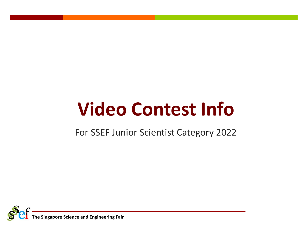# **Video Contest Info**

For SSEF Junior Scientist Category 2022

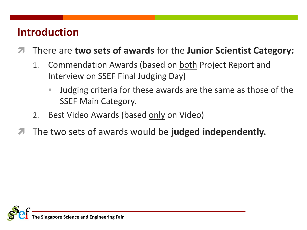#### **Introduction**

- There are **two sets of awards** for the **Junior Scientist Category:**
	- 1. Commendation Awards (based on both Project Report and Interview on SSEF Final Judging Day)
		- Judging criteria for these awards are the same as those of the SSEF Main Category.
	- 2. Best Video Awards (based only on Video)
- The two sets of awards would be **judged independently.**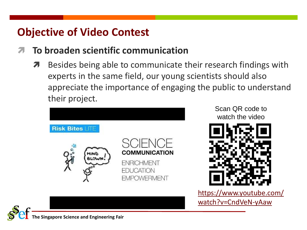#### **Objective of Video Contest**

#### **To broaden scientific communication**

**A** Besides being able to communicate their research findings with experts in the same field, our young scientists should also appreciate the importance of engaging the public to understand their project.



Scan QR code to watch the video



[https://www.youtube.com/](https://www.youtube.com/watch?v=CndVeN-yAaw) watch?v=CndVeN-yAaw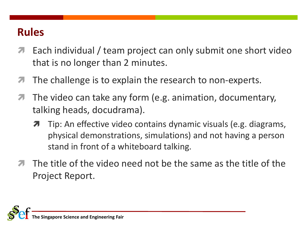- **T** Each individual / team project can only submit one short video that is no longer than 2 minutes.
- $\blacktriangleright$  The challenge is to explain the research to non-experts.
- The video can take any form (e.g. animation, documentary, talking heads, docudrama).
	- **T** Tip: An effective video contains dynamic visuals (e.g. diagrams, physical demonstrations, simulations) and not having a person stand in front of a whiteboard talking.
- The title of the video need not be the same as the title of the Project Report.

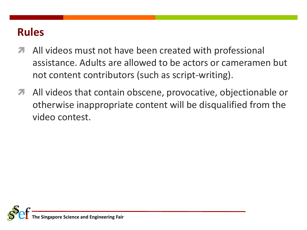- All videos must not have been created with professional assistance. Adults are allowed to be actors or cameramen but not content contributors (such as script-writing).
- All videos that contain obscene, provocative, objectionable or otherwise inappropriate content will be disqualified from the video contest.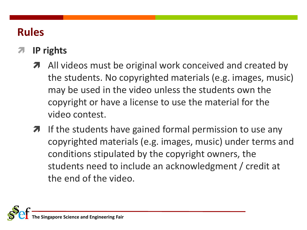#### **IP rights**

- All videos must be original work conceived and created by the students. No copyrighted materials (e.g. images, music) may be used in the video unless the students own the copyright or have a license to use the material for the video contest.
- $\lambda$  If the students have gained formal permission to use any copyrighted materials (e.g. images, music) under terms and conditions stipulated by the copyright owners, the students need to include an acknowledgment / credit at the end of the video.

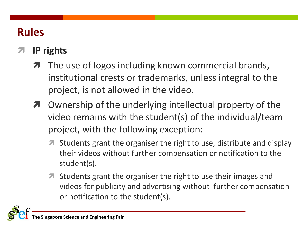#### **IP rights**

- The use of logos including known commercial brands, institutional crests or trademarks, unless integral to the project, is not allowed in the video.
- $\pi$  Ownership of the underlying intellectual property of the video remains with the student(s) of the individual/team project, with the following exception:
	- Students grant the organiser the right to use, distribute and display their videos without further compensation or notification to the student(s).
	- **T** Students grant the organiser the right to use their images and videos for publicity and advertising without further compensation or notification to the student(s).

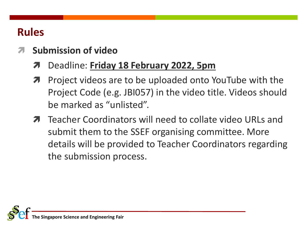- **Submission of video**
	- Deadline: **Friday 18 February 2022, 5pm**
	- **7** Project videos are to be uploaded onto YouTube with the Project Code (e.g. JBI057) in the video title. Videos should be marked as "unlisted".
	- **T** Teacher Coordinators will need to collate video URLs and submit them to the SSEF organising committee. More details will be provided to Teacher Coordinators regarding the submission process.

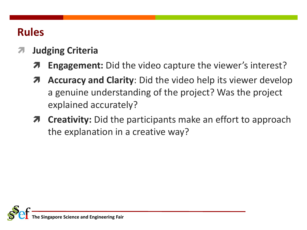- **Judging Criteria**
	- **Engagement:** Did the video capture the viewer's interest?
	- **A** Accuracy and Clarity: Did the video help its viewer develop a genuine understanding of the project? Was the project explained accurately?
	- **Creativity:** Did the participants make an effort to approach the explanation in a creative way?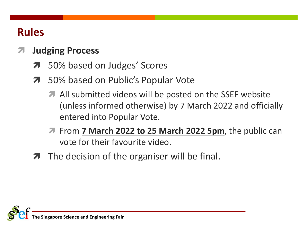#### **Judging Process**

- 50% based on Judges' Scores
- 50% based on Public's Popular Vote
	- All submitted videos will be posted on the SSEF website (unless informed otherwise) by 7 March 2022 and officially entered into Popular Vote.
	- **7** From **7 March 2022 to 25 March 2022 5pm**, the public can vote for their favourite video.
- $\lambda$  The decision of the organiser will be final.

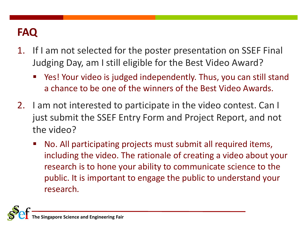- 1. If I am not selected for the poster presentation on SSEF Final Judging Day, am I still eligible for the Best Video Award?
	- Yes! Your video is judged independently. Thus, you can still stand a chance to be one of the winners of the Best Video Awards.
- 2. I am not interested to participate in the video contest. Can I just submit the SSEF Entry Form and Project Report, and not the video?
	- No. All participating projects must submit all required items, including the video. The rationale of creating a video about your research is to hone your ability to communicate science to the public. It is important to engage the public to understand your research.

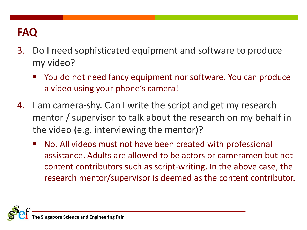- 3. Do I need sophisticated equipment and software to produce my video?
	- You do not need fancy equipment nor software. You can produce a video using your phone's camera!
- 4. I am camera-shy. Can I write the script and get my research mentor / supervisor to talk about the research on my behalf in the video (e.g. interviewing the mentor)?
	- No. All videos must not have been created with professional assistance. Adults are allowed to be actors or cameramen but not content contributors such as script-writing. In the above case, the research mentor/supervisor is deemed as the content contributor.

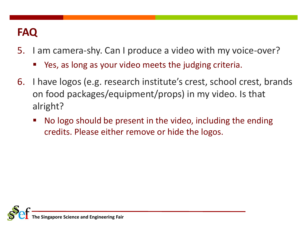- 5. I am camera-shy. Can I produce a video with my voice-over?
	- Yes, as long as your video meets the judging criteria.
- 6. I have logos (e.g. research institute's crest, school crest, brands on food packages/equipment/props) in my video. Is that alright?
	- No logo should be present in the video, including the ending credits. Please either remove or hide the logos.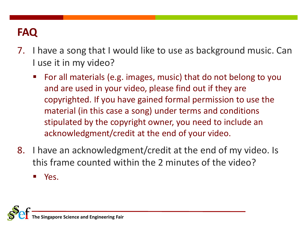- 7. I have a song that I would like to use as background music. Can I use it in my video?
	- For all materials (e.g. images, music) that do not belong to you and are used in your video, please find out if they are copyrighted. If you have gained formal permission to use the material (in this case a song) under terms and conditions stipulated by the copyright owner, you need to include an acknowledgment/credit at the end of your video.
- 8. I have an acknowledgment/credit at the end of my video. Is this frame counted within the 2 minutes of the video?

Yes.